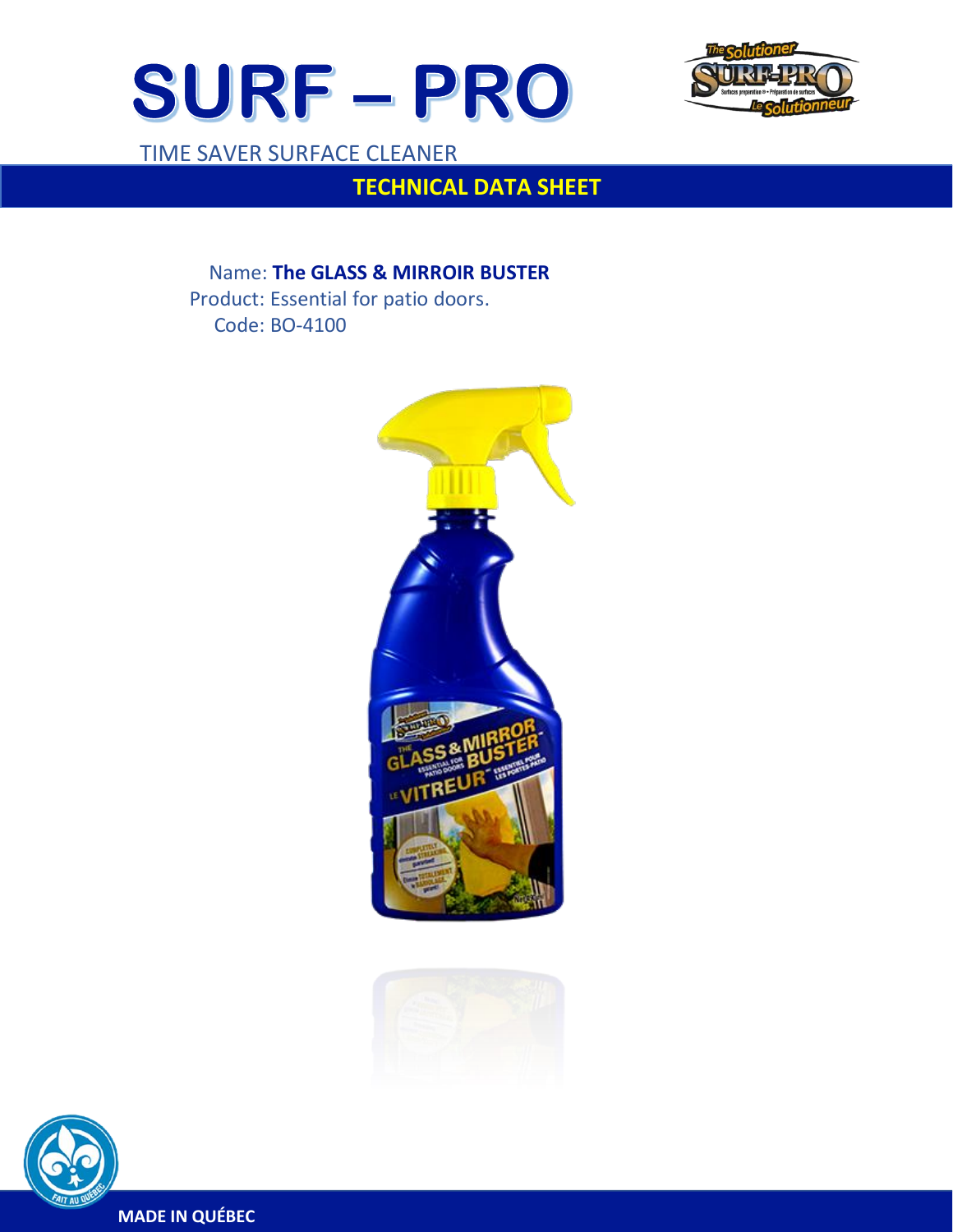



TIME SAVER SURFACE CLEANER

 $\overline{a}$ 

# **TECHNICAL DATA SHEET**

 Name: **The GLASS & MIRROIR BUSTER** Product: Essential for patio doors. Code: BO-4100







**MADE IN QUÉBEC**